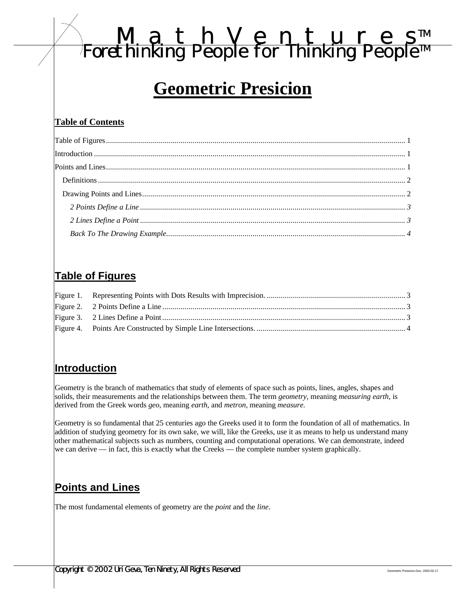# *MathVenture s TM Forethinking People for Thinking People TM*

## **Geometric Presicion**

#### **Table of Contents**

## **Table of Figures**

#### **Introduction**

Geometry is the branch of mathematics that study of elements of space such as points, lines, angles, shapes and solids, their measurements and the relationships between them. The term *geometry,* meaning *measuring earth,* is derived from the Greek words *geo,* meaning *earth,* and *metron,* meaning *measure.*

Geometry is so fundamental that 25 centuries ago the Greeks used it to form the foundation of all of mathematics. In addition of studying geometry for its own sake, we will, like the Greeks, use it as means to help us understand many other mathematical subjects such as numbers, counting and computational operations. We can demonstrate, indeed we can derive — in fact, this is exactly what the Creeks — the complete number system graphically.

## **Points and Lines**

The most fundamental elements of geometry are the *point* and the *line*.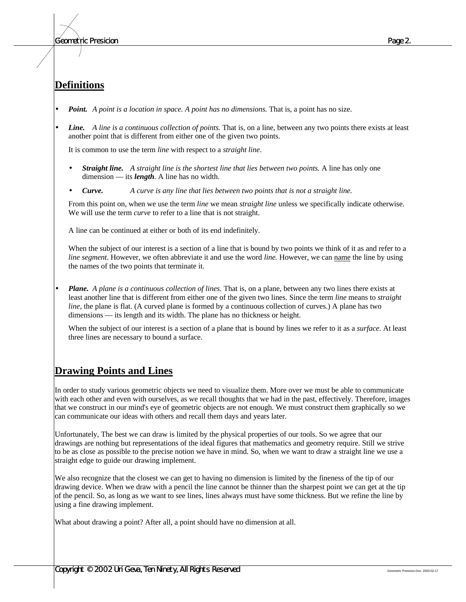#### **Definitions**

- *Point. A point is a location in space. A point has no dimensions.* That is, a point has no size.
- *Line. A line is a continuous collection of points.* That is, on a line, between any two points there exists at least another point that is different from either one of the given two points.

It is common to use the term *line* with respect to a *straight line*.

- *Straight line. A straight line is the shortest line that lies between two points.* A line has only one dimension — its *length*. A line has no width.
- *Curve. A curve is any line that lies between two points that is not a straight line.*

From this point on, when we use the term *line* we mean *straight line* unless we specifically indicate otherwise. We will use the term *curve* to refer to a line that is not straight.

A line can be continued at either or both of its end indefinitely.

When the subject of our interest is a section of a line that is bound by two points we think of it as and refer to a *line segment*. However, we often abbreviate it and use the word *line.* However, we can name the line by using the names of the two points that terminate it.

• *Plane. A plane is a continuous collection of lines.* That is, on a plane, between any two lines there exists at least another line that is different from either one of the given two lines. Since the term *line* means to *straight line*, the plane is flat. (A curved plane is formed by a continuous collection of curves.) A plane has two dimensions — its length and its width. The plane has no thickness or height.

When the subject of our interest is a section of a plane that is bound by lines we refer to it as a *surface.* At least three lines are necessary to bound a surface.

#### **Drawing Points and Lines**

In order to study various geometric objects we need to visualize them. More over we must be able to communicate with each other and even with ourselves, as we recall thoughts that we had in the past, effectively. Therefore, images that we construct in our mind's eye of geometric objects are not enough. We must construct them graphically so we can communicate our ideas with others and recall them days and years later.

Unfortunately, The best we can draw is limited by the physical properties of our tools. So we agree that our drawings are nothing but representations of the ideal figures that mathematics and geometry require. Still we strive to be as close as possible to the precise notion we have in mind. So, when we want to draw a straight line we use a straight edge to guide our drawing implement.

We also recognize that the closest we can get to having no dimension is limited by the fineness of the tip of our drawing device. When we draw with a pencil the line cannot be thinner than the sharpest point we can get at the tip of the pencil. So, as long as we want to see lines, lines always must have some thickness. But we refine the line by using a fine drawing implement.

What about drawing a point? After all, a point should have no dimension at all.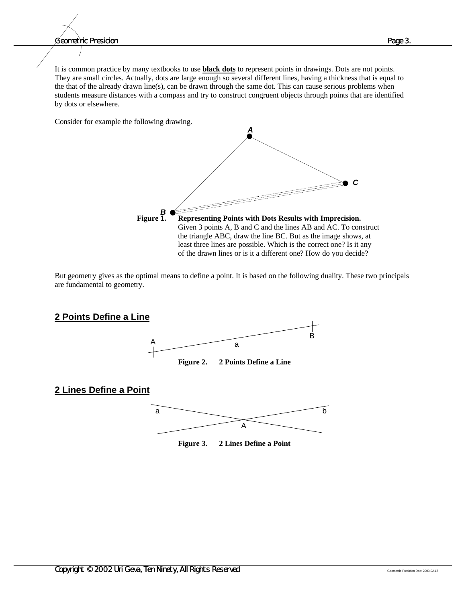*Geometric Presicion Page 3.*

It is common practice by many textbooks to use **black dots** to represent points in drawings. Dots are not points. They are small circles. Actually, dots are large enough so several different lines, having a thickness that is equal to the that of the already drawn line(s), can be drawn through the same dot. This can cause serious problems when students measure distances with a compass and try to construct congruent objects through points that are identified by dots or elsewhere.